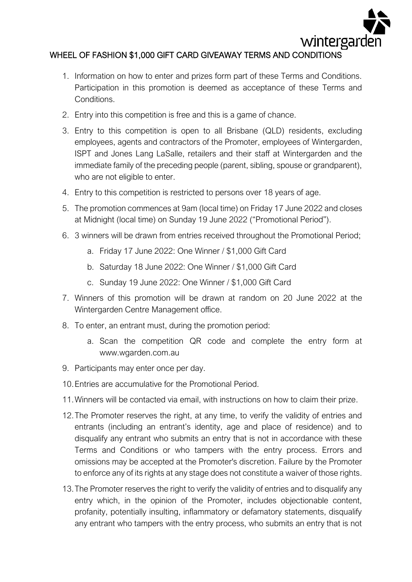

## WHEEL OF FASHION \$1,000 GIFT CARD GIVEAWAY TERMS AND CONDITIONS

- 1. Information on how to enter and prizes form part of these Terms and Conditions. Participation in this promotion is deemed as acceptance of these Terms and Conditions.
- 2. Entry into this competition is free and this is a game of chance.
- 3. Entry to this competition is open to all Brisbane (QLD) residents, excluding employees, agents and contractors of the Promoter, employees of Wintergarden, ISPT and Jones Lang LaSalle, retailers and their staff at Wintergarden and the immediate family of the preceding people (parent, sibling, spouse or grandparent), who are not eligible to enter.
- 4. Entry to this competition is restricted to persons over 18 years of age.
- 5. The promotion commences at 9am (local time) on Friday 17 June 2022 and closes at Midnight (local time) on Sunday 19 June 2022 ("Promotional Period").
- 6. 3 winners will be drawn from entries received throughout the Promotional Period;
	- a. Friday 17 June 2022: One Winner / \$1,000 Gift Card
	- b. Saturday 18 June 2022: One Winner / \$1,000 Gift Card
	- c. Sunday 19 June 2022: One Winner / \$1,000 Gift Card
- 7. Winners of this promotion will be drawn at random on 20 June 2022 at the Wintergarden Centre Management office.
- 8. To enter, an entrant must, during the promotion period:
	- a. Scan the competition QR code and complete the entry form at www.wgarden.com.au
- 9. Participants may enter once per day.
- 10.Entries are accumulative for the Promotional Period.
- 11.Winners will be contacted via email, with instructions on how to claim their prize.
- 12.The Promoter reserves the right, at any time, to verify the validity of entries and entrants (including an entrant's identity, age and place of residence) and to disqualify any entrant who submits an entry that is not in accordance with these Terms and Conditions or who tampers with the entry process. Errors and omissions may be accepted at the Promoter's discretion. Failure by the Promoter to enforce any of its rights at any stage does not constitute a waiver of those rights.
- 13.The Promoter reserves the right to verify the validity of entries and to disqualify any entry which, in the opinion of the Promoter, includes objectionable content, profanity, potentially insulting, inflammatory or defamatory statements, disqualify any entrant who tampers with the entry process, who submits an entry that is not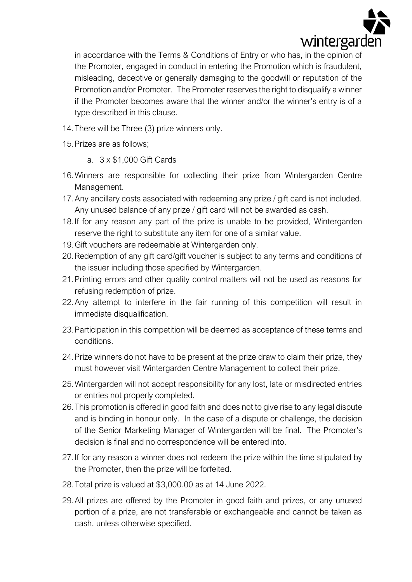

in accordance with the Terms & Conditions of Entry or who has, in the opinion of the Promoter, engaged in conduct in entering the Promotion which is fraudulent, misleading, deceptive or generally damaging to the goodwill or reputation of the Promotion and/or Promoter. The Promoter reserves the right to disqualify a winner if the Promoter becomes aware that the winner and/or the winner's entry is of a type described in this clause.

- 14.There will be Three (3) prize winners only.
- 15.Prizes are as follows;
	- a. 3 x \$1,000 Gift Cards
- 16.Winners are responsible for collecting their prize from Wintergarden Centre Management.
- 17.Any ancillary costs associated with redeeming any prize / gift card is not included. Any unused balance of any prize / gift card will not be awarded as cash.
- 18.If for any reason any part of the prize is unable to be provided, Wintergarden reserve the right to substitute any item for one of a similar value.
- 19.Gift vouchers are redeemable at Wintergarden only.
- 20.Redemption of any gift card/gift voucher is subject to any terms and conditions of the issuer including those specified by Wintergarden.
- 21.Printing errors and other quality control matters will not be used as reasons for refusing redemption of prize.
- 22.Any attempt to interfere in the fair running of this competition will result in immediate disqualification.
- 23.Participation in this competition will be deemed as acceptance of these terms and conditions.
- 24.Prize winners do not have to be present at the prize draw to claim their prize, they must however visit Wintergarden Centre Management to collect their prize.
- 25.Wintergarden will not accept responsibility for any lost, late or misdirected entries or entries not properly completed.
- 26.This promotion is offered in good faith and does not to give rise to any legal dispute and is binding in honour only. In the case of a dispute or challenge, the decision of the Senior Marketing Manager of Wintergarden will be final. The Promoter's decision is final and no correspondence will be entered into.
- 27.If for any reason a winner does not redeem the prize within the time stipulated by the Promoter, then the prize will be forfeited.
- 28.Total prize is valued at \$3,000.00 as at 14 June 2022.
- 29.All prizes are offered by the Promoter in good faith and prizes, or any unused portion of a prize, are not transferable or exchangeable and cannot be taken as cash, unless otherwise specified.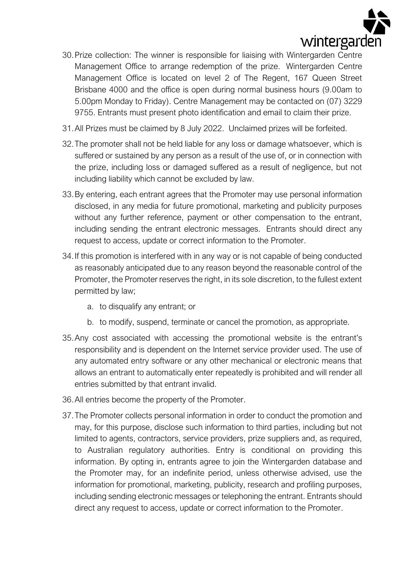

- 30.Prize collection: The winner is responsible for liaising with Wintergarden Centre Management Office to arrange redemption of the prize. Wintergarden Centre Management Office is located on level 2 of The Regent, 167 Queen Street Brisbane 4000 and the office is open during normal business hours (9.00am to 5.00pm Monday to Friday). Centre Management may be contacted on (07) 3229 9755. Entrants must present photo identification and email to claim their prize.
- 31.All Prizes must be claimed by 8 July 2022. Unclaimed prizes will be forfeited.
- 32.The promoter shall not be held liable for any loss or damage whatsoever, which is suffered or sustained by any person as a result of the use of, or in connection with the prize, including loss or damaged suffered as a result of negligence, but not including liability which cannot be excluded by law.
- 33.By entering, each entrant agrees that the Promoter may use personal information disclosed, in any media for future promotional, marketing and publicity purposes without any further reference, payment or other compensation to the entrant, including sending the entrant electronic messages. Entrants should direct any request to access, update or correct information to the Promoter.
- 34.If this promotion is interfered with in any way or is not capable of being conducted as reasonably anticipated due to any reason beyond the reasonable control of the Promoter, the Promoter reserves the right, in its sole discretion, to the fullest extent permitted by law;
	- a. to disqualify any entrant; or
	- b. to modify, suspend, terminate or cancel the promotion, as appropriate.
- 35.Any cost associated with accessing the promotional website is the entrant's responsibility and is dependent on the Internet service provider used. The use of any automated entry software or any other mechanical or electronic means that allows an entrant to automatically enter repeatedly is prohibited and will render all entries submitted by that entrant invalid.
- 36.All entries become the property of the Promoter.
- 37.The Promoter collects personal information in order to conduct the promotion and may, for this purpose, disclose such information to third parties, including but not limited to agents, contractors, service providers, prize suppliers and, as required, to Australian regulatory authorities. Entry is conditional on providing this information. By opting in, entrants agree to join the Wintergarden database and the Promoter may, for an indefinite period, unless otherwise advised, use the information for promotional, marketing, publicity, research and profiling purposes, including sending electronic messages or telephoning the entrant. Entrants should direct any request to access, update or correct information to the Promoter.